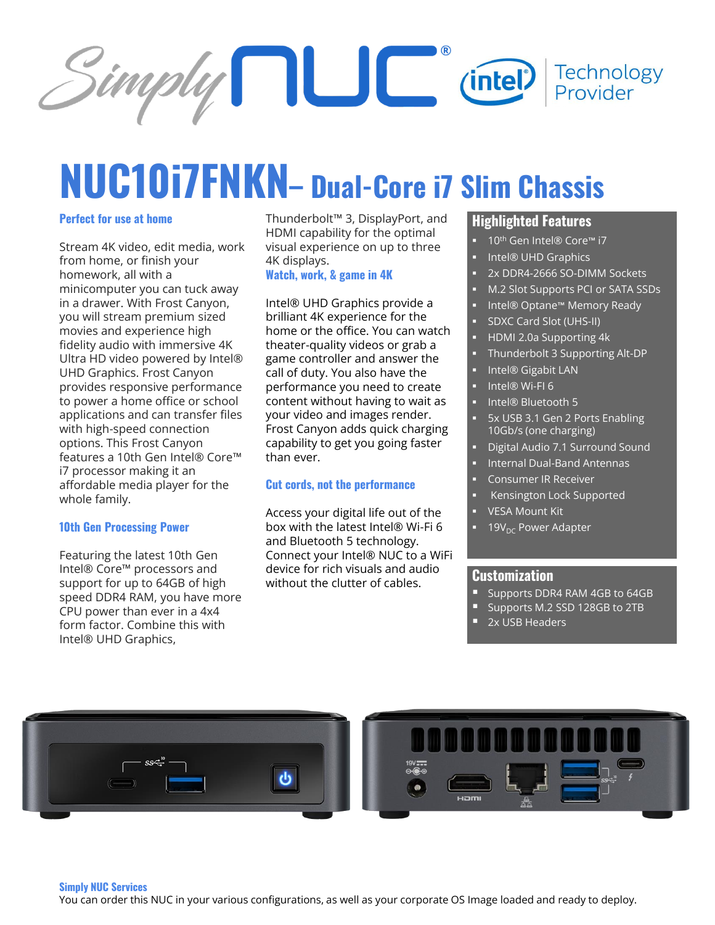

# **NUC10i7FNKN– Dual-Core i7 Slim Chassis**

#### **Perfect for use at home**

Stream 4K video, edit media, work from home, or finish your homework, all with a minicomputer you can tuck away in a drawer. With Frost Canyon, you will stream premium sized movies and experience high fidelity audio with immersive 4K Ultra HD video powered by Intel® UHD Graphics. Frost Canyon provides responsive performance to power a home office or school applications and can transfer files with high-speed connection options. This Frost Canyon features a 10th Gen Intel® Core™ i7 processor making it an affordable media player for the whole family.

#### **10th Gen Processing Power**

Featuring the latest 10th Gen Intel® Core™ processors and support for up to 64GB of high speed DDR4 RAM, you have more CPU power than ever in a 4x4 form factor. Combine this with Intel® UHD Graphics,

Thunderbolt™ 3, DisplayPort, and HDMI capability for the optimal visual experience on up to three 4K displays.

### **Watch, work, & game in 4K**

Intel® UHD Graphics provide a brilliant 4K experience for the home or the office. You can watch theater-quality videos or grab a game controller and answer the call of duty. You also have the performance you need to create content without having to wait as your video and images render. Frost Canyon adds quick charging capability to get you going faster than ever.

#### **Cut cords, not the performance**

Access your digital life out of the box with the latest Intel® Wi-Fi 6 and Bluetooth 5 technology. Connect your Intel® NUC to a WiFi device for rich visuals and audio without the clutter of cables.

## **Highlighted Features**

- 10<sup>th</sup> Gen Intel® Core™ i7
- Intel® UHD Graphics
- 2x DDR4-2666 SO-DIMM Sockets
- M.2 Slot Supports PCI or SATA SSDs
- Intel® Optane™ Memory Ready
- **SDXC Card Slot (UHS-II)**
- HDMI 2.0a Supporting 4k
- Thunderbolt 3 Supporting Alt-DP
- Intel® Gigabit LAN
- Intel® Wi-FI 6
- Intel® Bluetooth 5
- 5x USB 3.1 Gen 2 Ports Enabling 10Gb/s (one charging)
- Digital Audio 7.1 Surround Sound
- **Internal Dual-Band Antennas**
- Consumer IR Receiver
- Kensington Lock Supported
- **VESA Mount Kit**
- 19V<sub>DC</sub> Power Adapter

#### **Customization**

- **E** Supports DDR4 RAM 4GB to 64GB
- Supports M.2 SSD 128GB to 2TB
- $\overline{\phantom{2x}}$  2x USB Headers



#### **Simply NUC Services**

You can order this NUC in your various configurations, as well as your corporate OS Image loaded and ready to deploy.